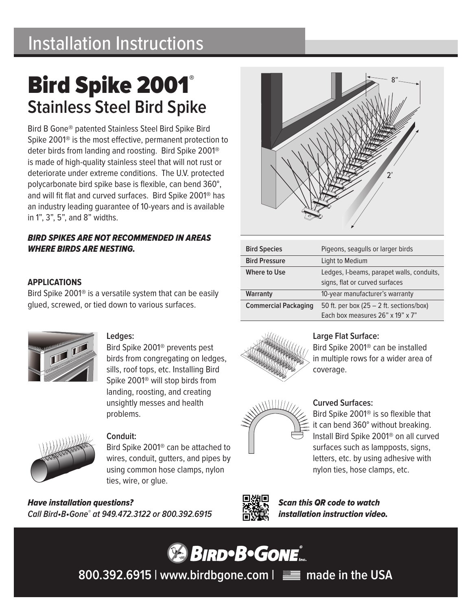## Installation Instructions

# Bird Spike 2001® **Stainless Steel Bird Spike**

Bird B Gone® patented Stainless Steel Bird Spike Bird Spike 2001® is the most effective, permanent protection to deter birds from landing and roosting. Bird Spike 2001® is made of high-quality stainless steel that will not rust or deteriorate under extreme conditions. The U.V. protected polycarbonate bird spike base is flexible, can bend 360°, and will fit flat and curved surfaces. Bird Spike 2001® has an industry leading guarantee of 10-years and is available in 1", 3", 5", and 8" widths.

#### *BIRD SPIKES ARE NOT RECOMMENDED IN AREAS WHERE BIRDS ARE NESTING.*

#### **APPLICATIONS**

Bird Spike 2001® is a versatile system that can be easily glued, screwed, or tied down to various surfaces.



#### **Ledges:**

Bird Spike 2001® prevents pest birds from congregating on ledges, sills, roof tops, etc. Installing Bird Spike 2001® will stop birds from landing, roosting, and creating unsightly messes and health problems.



#### **Conduit:**

Bird Spike 2001® can be attached to wires, conduit, gutters, and pipes by using common hose clamps, nylon ties, wire, or glue.

*Have installation questions? Call Bird•B•Gone® at 949.472.3122 or 800.392.6915*



| <b>Bird Species</b>         | Pigeons, seagulls or larger birds                                           |
|-----------------------------|-----------------------------------------------------------------------------|
| <b>Bird Pressure</b>        | Light to Medium                                                             |
| <b>Where to Use</b>         | Ledges, I-beams, parapet walls, conduits,<br>signs, flat or curved surfaces |
| Warranty                    | 10-year manufacturer's warranty                                             |
| <b>Commercial Packaging</b> | 50 ft. per box $(25 – 2$ ft. sections/box)                                  |
|                             | Each box measures 26" x 19" x 7"                                            |



#### **Large Flat Surface:**

Bird Spike 2001® can be installed in multiple rows for a wider area of coverage.



#### **Curved Surfaces:**

Bird Spike 2001® is so flexible that it can bend 360° without breaking. Install Bird Spike 2001® on all curved surfaces such as lampposts, signs, letters, etc. by using adhesive with nylon ties, hose clamps, etc.



*Scan this QR code to watch installation instruction video.*



**800.392.6915 | www.birdbgone.com | made in the USA**